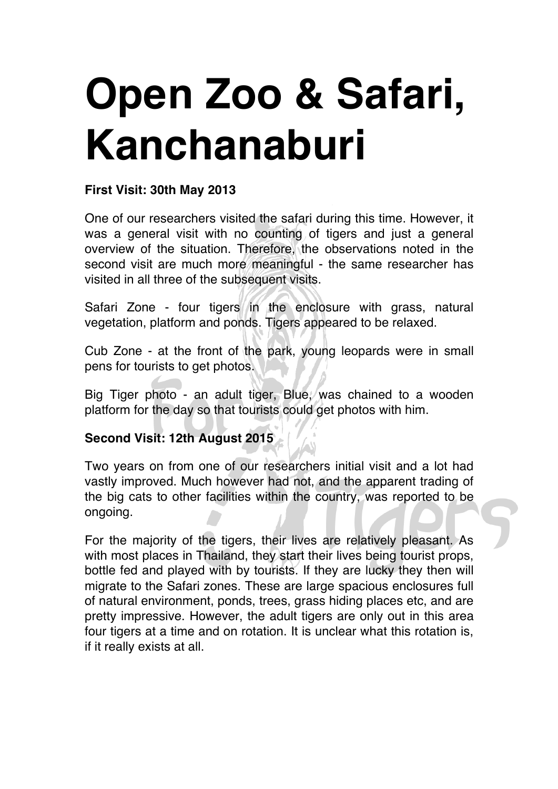# **Open Zoo & Safari, Kanchanaburi**

## **First Visit: 30th May 2013**

One of our researchers visited the safari during this time. However, it was a general visit with no counting of tigers and just a general overview of the situation. Therefore, the observations noted in the second visit are much more meaningful - the same researcher has visited in all three of the subsequent visits.

Safari Zone - four tigers in the enclosure with grass, natural vegetation, platform and ponds. Tigers appeared to be relaxed.

Cub Zone - at the front of the park, young leopards were in small pens for tourists to get photos.

Big Tiger photo - an adult tiger, Blue, was chained to a wooden platform for the day so that tourists could get photos with him.

### **Second Visit: 12th August 2015**

Two years on from one of our researchers initial visit and a lot had vastly improved. Much however had not, and the apparent trading of the big cats to other facilities within the country, was reported to be ongoing.

For the majority of the tigers, their lives are relatively pleasant. As with most places in Thailand, they start their lives being tourist props, bottle fed and played with by tourists. If they are lucky they then will migrate to the Safari zones. These are large spacious enclosures full of natural environment, ponds, trees, grass hiding places etc, and are pretty impressive. However, the adult tigers are only out in this area four tigers at a time and on rotation. It is unclear what this rotation is, if it really exists at all.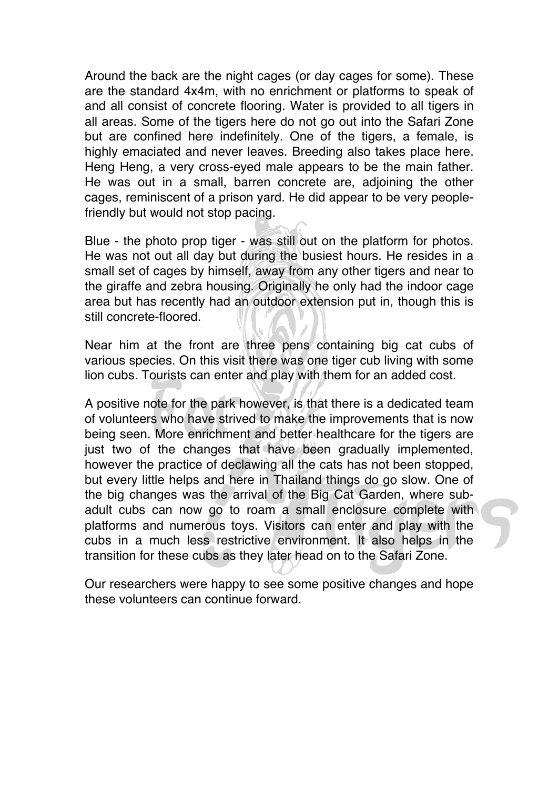Around the back are the night cages (or day cages for some). These are the standard 4x4m, with no enrichment or platforms to speak of and all consist of concrete flooring. Water is provided to all tigers in all areas. Some of the tigers here do not go out into the Safari Zone but are confined here indefinitely. One of the tigers, a female, is highly emaciated and never leaves. Breeding also takes place here. Heng Heng, a very cross-eyed male appears to be the main father. He was out in a small, barren concrete are, adjoining the other cages, reminiscent of a prison yard. He did appear to be very peoplefriendly but would not stop pacing.

Blue - the photo prop tiger - was still out on the platform for photos. He was not out all day but during the busiest hours. He resides in a small set of cages by himself, away from any other tigers and near to the giraffe and zebra housing. Originally he only had the indoor cage area but has recently had an outdoor extension put in, though this is still concrete-floored.

Near him at the front are three pens containing big cat cubs of various species. On this visit there was one tiger cub living with some lion cubs. Tourists can enter and play with them for an added cost.

A positive note for the park however, is that there is a dedicated team of volunteers who have strived to make the improvements that is now being seen. More enrichment and better healthcare for the tigers are just two of the changes that have been gradually implemented, however the practice of declawing all the cats has not been stopped, but every little helps and here in Thailand things do go slow. One of the big changes was the arrival of the Big Cat Garden, where subadult cubs can now go to roam a small enclosure complete with platforms and numerous toys. Visitors can enter and play with the cubs in a much less restrictive environment. It also helps in the transition for these cubs as they later head on to the Safari Zone.

Our researchers were happy to see some positive changes and hope these volunteers can continue forward.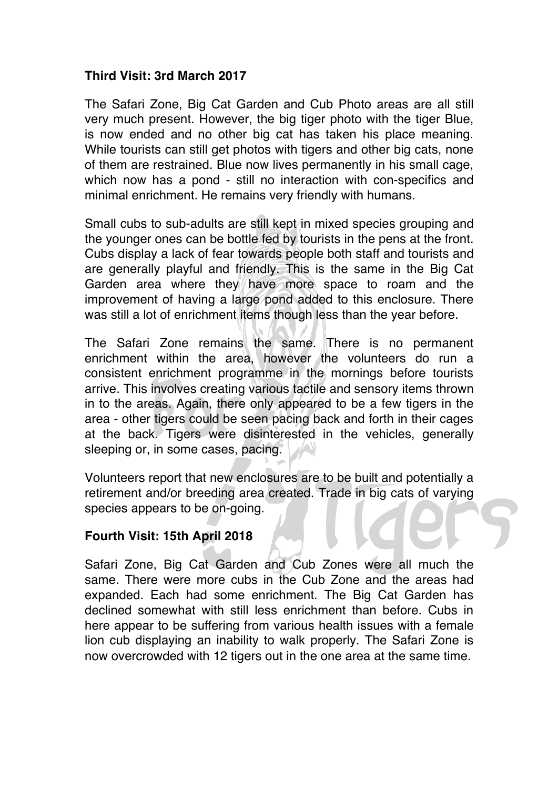#### **Third Visit: 3rd March 2017**

The Safari Zone, Big Cat Garden and Cub Photo areas are all still very much present. However, the big tiger photo with the tiger Blue, is now ended and no other big cat has taken his place meaning. While tourists can still get photos with tigers and other big cats, none of them are restrained. Blue now lives permanently in his small cage, which now has a pond - still no interaction with con-specifics and minimal enrichment. He remains very friendly with humans.

Small cubs to sub-adults are still kept in mixed species grouping and the younger ones can be bottle fed by tourists in the pens at the front. Cubs display a lack of fear towards people both staff and tourists and are generally playful and friendly. This is the same in the Big Cat Garden area where they have more space to roam and the improvement of having a large pond added to this enclosure. There was still a lot of enrichment items though less than the year before.

The Safari Zone remains the same. There is no permanent enrichment within the area, however the volunteers do run a consistent enrichment programme in the mornings before tourists arrive. This involves creating various tactile and sensory items thrown in to the areas. Again, there only appeared to be a few tigers in the area - other tigers could be seen pacing back and forth in their cages at the back. Tigers were disinterested in the vehicles, generally sleeping or, in some cases, pacing.

Volunteers report that new enclosures are to be built and potentially a retirement and/or breeding area created. Trade in big cats of varying species appears to be on-going.

#### **Fourth Visit: 15th April 2018**

Safari Zone, Big Cat Garden and Cub Zones were all much the same. There were more cubs in the Cub Zone and the areas had expanded. Each had some enrichment. The Big Cat Garden has declined somewhat with still less enrichment than before. Cubs in here appear to be suffering from various health issues with a female lion cub displaying an inability to walk properly. The Safari Zone is now overcrowded with 12 tigers out in the one area at the same time.